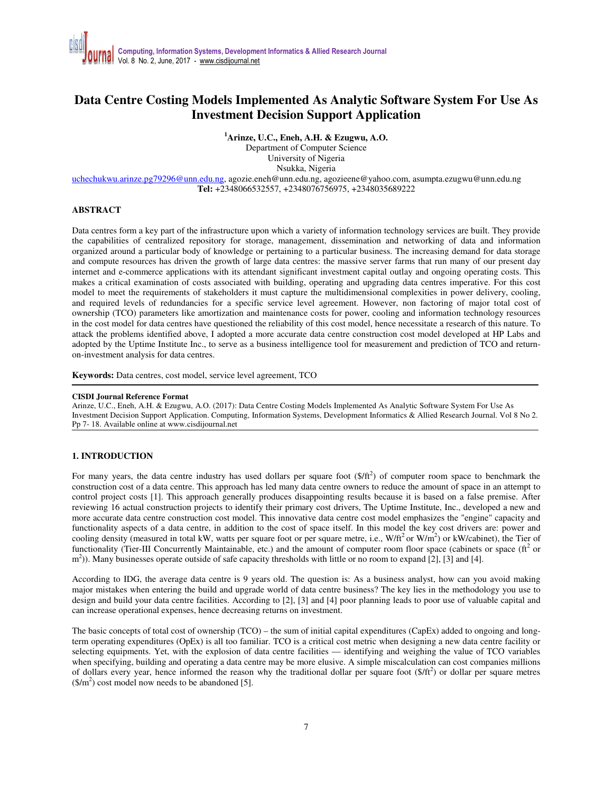# **Data Centre Costing Models Implemented As Analytic Software System For Use As Investment Decision Support Application**

**<sup>1</sup>Arinze, U.C., Eneh, A.H. & Ezugwu, A.O.** 

Department of Computer Science University of Nigeria Nsukka, Nigeria

uchechukwu.arinze.pg79296@unn.edu.ng, agozie.eneh@unn.edu.ng, agozieene@yahoo.com, asumpta.ezugwu@unn.edu.ng **Tel:** +2348066532557, +2348076756975, +2348035689222

# **ABSTRACT**

Data centres form a key part of the infrastructure upon which a variety of information technology services are built. They provide the capabilities of centralized repository for storage, management, dissemination and networking of data and information organized around a particular body of knowledge or pertaining to a particular business. The increasing demand for data storage and compute resources has driven the growth of large data centres: the massive server farms that run many of our present day internet and e-commerce applications with its attendant significant investment capital outlay and ongoing operating costs. This makes a critical examination of costs associated with building, operating and upgrading data centres imperative. For this cost model to meet the requirements of stakeholders it must capture the multidimensional complexities in power delivery, cooling, and required levels of redundancies for a specific service level agreement. However, non factoring of major total cost of ownership (TCO) parameters like amortization and maintenance costs for power, cooling and information technology resources in the cost model for data centres have questioned the reliability of this cost model, hence necessitate a research of this nature. To attack the problems identified above, I adopted a more accurate data centre construction cost model developed at HP Labs and adopted by the Uptime Institute Inc., to serve as a business intelligence tool for measurement and prediction of TCO and returnon-investment analysis for data centres.

**Keywords:** Data centres, cost model, service level agreement, TCO

#### **CISDI Journal Reference Format**

Arinze, U.C., Eneh, A.H. & Ezugwu, A.O. (2017): Data Centre Costing Models Implemented As Analytic Software System For Use As Investment Decision Support Application. Computing, Information Systems, Development Informatics & Allied Research Journal. Vol 8 No 2. Pp 7- 18. Available online at www.cisdijournal.net

### **1. INTRODUCTION**

For many years, the data centre industry has used dollars per square foot  $(\frac{C}{L})$  of computer room space to benchmark the construction cost of a data centre. This approach has led many data centre owners to reduce the amount of space in an attempt to control project costs [1]. This approach generally produces disappointing results because it is based on a false premise. After reviewing 16 actual construction projects to identify their primary cost drivers, The Uptime Institute, Inc., developed a new and more accurate data centre construction cost model. This innovative data centre cost model emphasizes the "engine" capacity and functionality aspects of a data centre, in addition to the cost of space itself. In this model the key cost drivers are: power and cooling density (measured in total kW, watts per square foot or per square metre, i.e.,  $W/ft^2$  or  $W/m^2$ ) or kW/cabinet), the Tier of functionality (Tier-III Concurrently Maintainable, etc.) and the amount of computer room floor space (cabinets or space ( $\text{ft}^2$  or  $\text{m}^2$ )). Many businesses operate outside of safe capacity thresholds with little or no room to expand [2], [3] and [4].

According to IDG, the average data centre is 9 years old. The question is: As a business analyst, how can you avoid making major mistakes when entering the build and upgrade world of data centre business? The key lies in the methodology you use to design and build your data centre facilities. According to [2], [3] and [4] poor planning leads to poor use of valuable capital and can increase operational expenses, hence decreasing returns on investment.

The basic concepts of total cost of ownership (TCO) – the sum of initial capital expenditures (CapEx) added to ongoing and longterm operating expenditures (OpEx) is all too familiar. TCO is a critical cost metric when designing a new data centre facility or selecting equipments. Yet, with the explosion of data centre facilities — identifying and weighing the value of TCO variables when specifying, building and operating a data centre may be more elusive. A simple miscalculation can cost companies millions of dollars every year, hence informed the reason why the traditional dollar per square foot  $(\frac{f}{f})$  or dollar per square metres  $(\frac{\text{S}}{\text{m}^2})$  cost model now needs to be abandoned [5].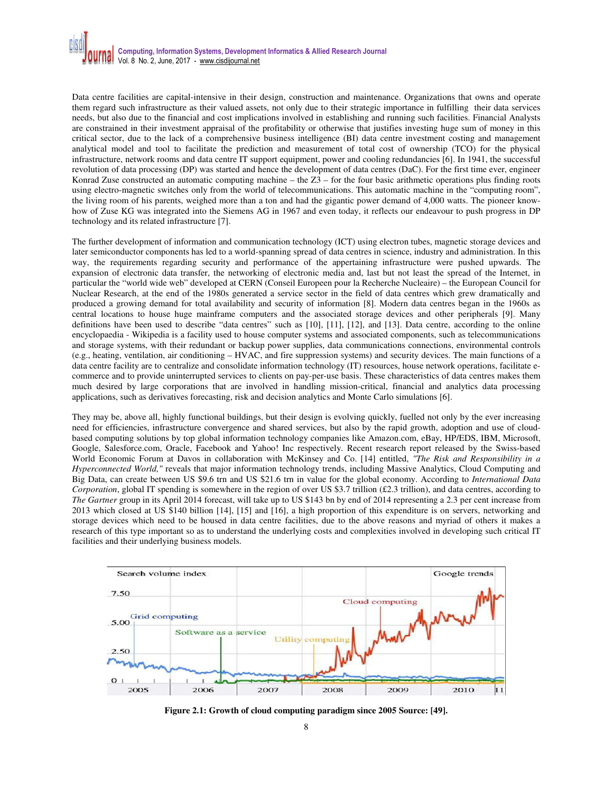Data centre facilities are capital-intensive in their design, construction and maintenance. Organizations that owns and operate them regard such infrastructure as their valued assets, not only due to their strategic importance in fulfilling their data services needs, but also due to the financial and cost implications involved in establishing and running such facilities. Financial Analysts are constrained in their investment appraisal of the profitability or otherwise that justifies investing huge sum of money in this critical sector, due to the lack of a comprehensive business intelligence (BI) data centre investment costing and management analytical model and tool to facilitate the prediction and measurement of total cost of ownership (TCO) for the physical infrastructure, network rooms and data centre IT support equipment, power and cooling redundancies [6]. In 1941, the successful revolution of data processing (DP) was started and hence the development of data centres (DaC). For the first time ever, engineer Konrad Zuse constructed an automatic computing machine – the  $Z3$  – for the four basic arithmetic operations plus finding roots using electro-magnetic switches only from the world of telecommunications. This automatic machine in the "computing room", the living room of his parents, weighed more than a ton and had the gigantic power demand of 4,000 watts. The pioneer knowhow of Zuse KG was integrated into the Siemens AG in 1967 and even today, it reflects our endeavour to push progress in DP technology and its related infrastructure [7].

The further development of information and communication technology (ICT) using electron tubes, magnetic storage devices and later semiconductor components has led to a world-spanning spread of data centres in science, industry and administration. In this way, the requirements regarding security and performance of the appertaining infrastructure were pushed upwards. The expansion of electronic data transfer, the networking of electronic media and, last but not least the spread of the Internet, in particular the "world wide web" developed at CERN (Conseil Europeen pour la Recherche Nucleaire) – the European Council for Nuclear Research, at the end of the 1980s generated a service sector in the field of data centres which grew dramatically and produced a growing demand for total availability and security of information [8]. Modern data centres began in the 1960s as central locations to house huge mainframe computers and the associated storage devices and other peripherals [9]. Many definitions have been used to describe "data centres" such as [10], [11], [12], and [13]. Data centre, according to the online encyclopaedia - Wikipedia is a facility used to house computer systems and associated components, such as telecommunications and storage systems, with their redundant or backup power supplies, data communications connections, environmental controls (e.g., heating, ventilation, air conditioning – HVAC, and fire suppression systems) and security devices. The main functions of a data centre facility are to centralize and consolidate information technology (IT) resources, house network operations, facilitate ecommerce and to provide uninterrupted services to clients on pay-per-use basis. These characteristics of data centres makes them much desired by large corporations that are involved in handling mission-critical, financial and analytics data processing applications, such as derivatives forecasting, risk and decision analytics and Monte Carlo simulations [6].

They may be, above all, highly functional buildings, but their design is evolving quickly, fuelled not only by the ever increasing need for efficiencies, infrastructure convergence and shared services, but also by the rapid growth, adoption and use of cloudbased computing solutions by top global information technology companies like Amazon.com, eBay, HP/EDS, IBM, Microsoft, Google, Salesforce.com, Oracle, Facebook and Yahoo! Inc respectively. Recent research report released by the Swiss-based World Economic Forum at Davos in collaboration with McKinsey and Co. [14] entitled, *"The Risk and Responsibility in a Hyperconnected World,"* reveals that major information technology trends, including Massive Analytics, Cloud Computing and Big Data, can create between US \$9.6 trn and US \$21.6 trn in value for the global economy. According to *International Data Corporation*, global IT spending is somewhere in the region of over US \$3.7 trillion (£2.3 trillion), and data centres, according to *The Gartner* group in its April 2014 forecast, will take up to US \$143 bn by end of 2014 representing a 2.3 per cent increase from 2013 which closed at US \$140 billion [14], [15] and [16], a high proportion of this expenditure is on servers, networking and storage devices which need to be housed in data centre facilities, due to the above reasons and myriad of others it makes a research of this type important so as to understand the underlying costs and complexities involved in developing such critical IT facilities and their underlying business models.



**Figure 2.1: Growth of cloud computing paradigm since 2005 Source: [49].**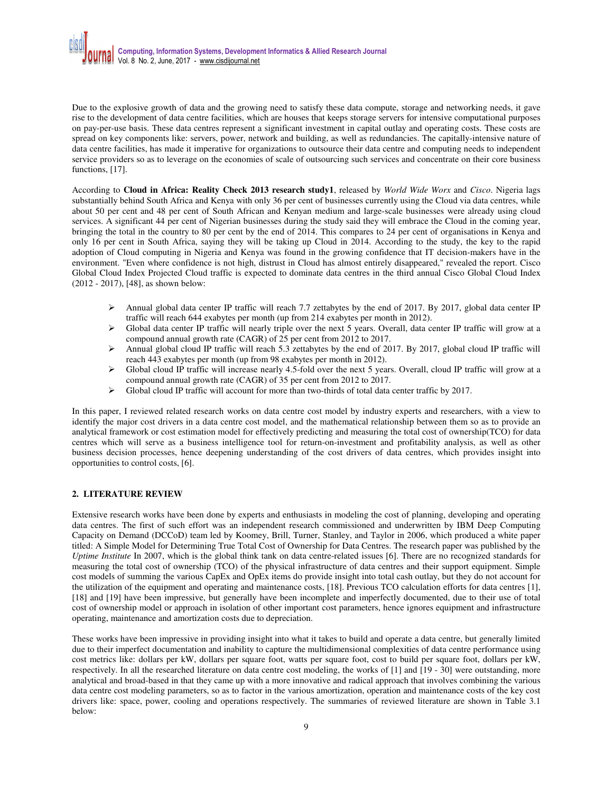Due to the explosive growth of data and the growing need to satisfy these data compute, storage and networking needs, it gave rise to the development of data centre facilities, which are houses that keeps storage servers for intensive computational purposes on pay-per-use basis. These data centres represent a significant investment in capital outlay and operating costs. These costs are spread on key components like: servers, power, network and building, as well as redundancies. The capitally-intensive nature of data centre facilities, has made it imperative for organizations to outsource their data centre and computing needs to independent service providers so as to leverage on the economies of scale of outsourcing such services and concentrate on their core business functions, [17].

According to **Cloud in Africa: Reality Check 2013 research study1**, released by *World Wide Worx* and *Cisco*. Nigeria lags substantially behind South Africa and Kenya with only 36 per cent of businesses currently using the Cloud via data centres, while about 50 per cent and 48 per cent of South African and Kenyan medium and large-scale businesses were already using cloud services. A significant 44 per cent of Nigerian businesses during the study said they will embrace the Cloud in the coming year, bringing the total in the country to 80 per cent by the end of 2014. This compares to 24 per cent of organisations in Kenya and only 16 per cent in South Africa, saying they will be taking up Cloud in 2014. According to the study, the key to the rapid adoption of Cloud computing in Nigeria and Kenya was found in the growing confidence that IT decision-makers have in the environment. "Even where confidence is not high, distrust in Cloud has almost entirely disappeared," revealed the report. Cisco Global Cloud Index Projected Cloud traffic is expected to dominate data centres in the third annual Cisco Global Cloud Index (2012 - 2017), [48], as shown below:

- Annual global data center IP traffic will reach 7.7 zettabytes by the end of 2017. By 2017, global data center IP traffic will reach 644 exabytes per month (up from 214 exabytes per month in 2012).
- $\triangleright$  Global data center IP traffic will nearly triple over the next 5 years. Overall, data center IP traffic will grow at a compound annual growth rate (CAGR) of 25 per cent from 2012 to 2017.
- Annual global cloud IP traffic will reach 5.3 zettabytes by the end of 2017. By 2017, global cloud IP traffic will reach 443 exabytes per month (up from 98 exabytes per month in 2012).
- $\triangleright$  Global cloud IP traffic will increase nearly 4.5-fold over the next 5 years. Overall, cloud IP traffic will grow at a compound annual growth rate (CAGR) of 35 per cent from 2012 to 2017.
- $\triangleright$  Global cloud IP traffic will account for more than two-thirds of total data center traffic by 2017.

In this paper, I reviewed related research works on data centre cost model by industry experts and researchers, with a view to identify the major cost drivers in a data centre cost model, and the mathematical relationship between them so as to provide an analytical framework or cost estimation model for effectively predicting and measuring the total cost of ownership(TCO) for data centres which will serve as a business intelligence tool for return-on-investment and profitability analysis, as well as other business decision processes, hence deepening understanding of the cost drivers of data centres, which provides insight into opportunities to control costs, [6].

# **2. LITERATURE REVIEW**

Extensive research works have been done by experts and enthusiasts in modeling the cost of planning, developing and operating data centres. The first of such effort was an independent research commissioned and underwritten by IBM Deep Computing Capacity on Demand (DCCoD) team led by Koomey, Brill, Turner, Stanley, and Taylor in 2006, which produced a white paper titled: A Simple Model for Determining True Total Cost of Ownership for Data Centres. The research paper was published by the *Uptime Institute* In 2007, which is the global think tank on data centre-related issues [6]. There are no recognized standards for measuring the total cost of ownership (TCO) of the physical infrastructure of data centres and their support equipment. Simple cost models of summing the various CapEx and OpEx items do provide insight into total cash outlay, but they do not account for the utilization of the equipment and operating and maintenance costs, [18]. Previous TCO calculation efforts for data centres [1], [18] and [19] have been impressive, but generally have been incomplete and imperfectly documented, due to their use of total cost of ownership model or approach in isolation of other important cost parameters, hence ignores equipment and infrastructure operating, maintenance and amortization costs due to depreciation.

These works have been impressive in providing insight into what it takes to build and operate a data centre, but generally limited due to their imperfect documentation and inability to capture the multidimensional complexities of data centre performance using cost metrics like: dollars per kW, dollars per square foot, watts per square foot, cost to build per square foot, dollars per kW, respectively. In all the researched literature on data centre cost modeling, the works of [1] and [19 - 30] were outstanding, more analytical and broad-based in that they came up with a more innovative and radical approach that involves combining the various data centre cost modeling parameters, so as to factor in the various amortization, operation and maintenance costs of the key cost drivers like: space, power, cooling and operations respectively. The summaries of reviewed literature are shown in Table 3.1 below: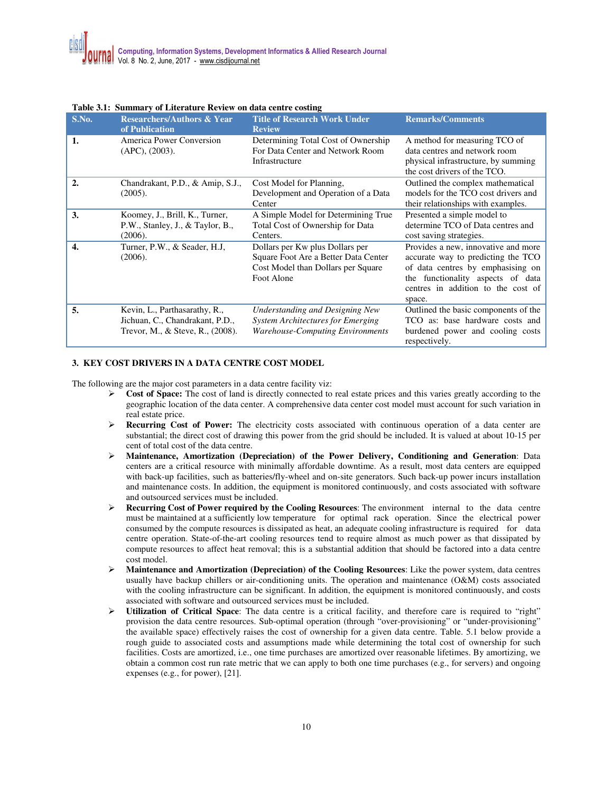| S.No.            | <b>Researchers/Authors &amp; Year</b><br>of Publication                                              | <b>Title of Research Work Under</b><br><b>Review</b>                                                                          | <b>Remarks/Comments</b>                                                                                                                                                                             |
|------------------|------------------------------------------------------------------------------------------------------|-------------------------------------------------------------------------------------------------------------------------------|-----------------------------------------------------------------------------------------------------------------------------------------------------------------------------------------------------|
| 1.               | America Power Conversion<br>$(APC)$ , $(2003)$ .                                                     | Determining Total Cost of Ownership<br>For Data Center and Network Room<br>Infrastructure                                     | A method for measuring TCO of<br>data centres and network room<br>physical infrastructure, by summing<br>the cost drivers of the TCO.                                                               |
| $\overline{2}$ . | Chandrakant, P.D., & Amip, S.J.,<br>(2005).                                                          | Cost Model for Planning,<br>Development and Operation of a Data<br>Center                                                     | Outlined the complex mathematical<br>models for the TCO cost drivers and<br>their relationships with examples.                                                                                      |
| 3.               | Koomey, J., Brill, K., Turner,<br>P.W., Stanley, J., & Taylor, B.,<br>(2006).                        | A Simple Model for Determining True<br>Total Cost of Ownership for Data<br>Centers.                                           | Presented a simple model to<br>determine TCO of Data centres and<br>cost saving strategies.                                                                                                         |
| 4.               | Turner, P.W., & Seader, H.J,<br>(2006).                                                              | Dollars per Kw plus Dollars per<br>Square Foot Are a Better Data Center<br>Cost Model than Dollars per Square<br>Foot Alone   | Provides a new, innovative and more<br>accurate way to predicting the TCO<br>of data centres by emphasising on<br>the functionality aspects of data<br>centres in addition to the cost of<br>space. |
| 5.               | Kevin, L., Parthasarathy, R.,<br>Jichuan, C., Chandrakant, P.D.,<br>Trevor, M., & Steve, R., (2008). | <b>Understanding and Designing New</b><br><b>System Architectures for Emerging</b><br><b>Warehouse-Computing Environments</b> | Outlined the basic components of the<br>TCO as: base hardware costs and<br>burdened power and cooling costs<br>respectively.                                                                        |

#### **Table 3.1: Summary of Literature Review on data centre costing**

### **3. KEY COST DRIVERS IN A DATA CENTRE COST MODEL**

The following are the major cost parameters in a data centre facility viz:

- **Cost of Space:** The cost of land is directly connected to real estate prices and this varies greatly according to the geographic location of the data center. A comprehensive data center cost model must account for such variation in real estate price.
- **Recurring Cost of Power:** The electricity costs associated with continuous operation of a data center are substantial; the direct cost of drawing this power from the grid should be included. It is valued at about 10-15 per cent of total cost of the data centre.
- **Maintenance, Amortization (Depreciation) of the Power Delivery, Conditioning and Generation**: Data centers are a critical resource with minimally affordable downtime. As a result, most data centers are equipped with back-up facilities, such as batteries/fly-wheel and on-site generators. Such back-up power incurs installation and maintenance costs. In addition, the equipment is monitored continuously, and costs associated with software and outsourced services must be included.
- **Recurring Cost of Power required by the Cooling Resources**: The environment internal to the data centre must be maintained at a sufficiently low temperature for optimal rack operation. Since the electrical power consumed by the compute resources is dissipated as heat, an adequate cooling infrastructure is required for data centre operation. State-of-the-art cooling resources tend to require almost as much power as that dissipated by compute resources to affect heat removal; this is a substantial addition that should be factored into a data centre cost model.
- **Maintenance and Amortization (Depreciation) of the Cooling Resources**: Like the power system, data centres usually have backup chillers or air-conditioning units. The operation and maintenance (O&M) costs associated with the cooling infrastructure can be significant. In addition, the equipment is monitored continuously, and costs associated with software and outsourced services must be included.
- **Utilization of Critical Space**: The data centre is a critical facility, and therefore care is required to "right" provision the data centre resources. Sub-optimal operation (through "over-provisioning" or "under-provisioning" the available space) effectively raises the cost of ownership for a given data centre. Table. 5.1 below provide a rough guide to associated costs and assumptions made while determining the total cost of ownership for such facilities. Costs are amortized, i.e., one time purchases are amortized over reasonable lifetimes. By amortizing, we obtain a common cost run rate metric that we can apply to both one time purchases (e.g., for servers) and ongoing expenses (e.g., for power), [21].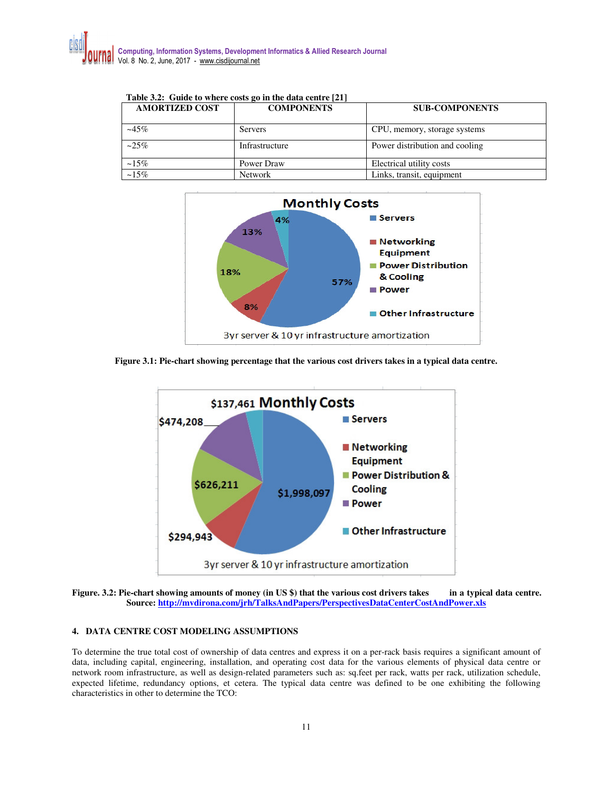| Table 3.2: Guide to where costs go in the data centre [21] |                   |                                |  |
|------------------------------------------------------------|-------------------|--------------------------------|--|
| <b>AMORTIZED COST</b>                                      | <b>COMPONENTS</b> | <b>SUB-COMPONENTS</b>          |  |
|                                                            |                   |                                |  |
| $-45%$                                                     | <b>Servers</b>    | CPU, memory, storage systems   |  |
| $-25%$                                                     | Infrastructure    | Power distribution and cooling |  |
| $~15\%$                                                    | Power Draw        | Electrical utility costs       |  |
| $~15\%$                                                    | <b>Network</b>    | Links, transit, equipment      |  |





**Figure 3.1: Pie-chart showing percentage that the various cost drivers takes in a typical data centre.**



**Figure. 3.2: Pie-chart showing amounts of money (in US \$) that the various cost drivers takes in a typical data centre. Source: http://mvdirona.com/jrh/TalksAndPapers/PerspectivesDataCenterCostAndPower.xls**

# **4. DATA CENTRE COST MODELING ASSUMPTIONS**

To determine the true total cost of ownership of data centres and express it on a per-rack basis requires a significant amount of data, including capital, engineering, installation, and operating cost data for the various elements of physical data centre or network room infrastructure, as well as design-related parameters such as: sq.feet per rack, watts per rack, utilization schedule, expected lifetime, redundancy options, et cetera. The typical data centre was defined to be one exhibiting the following characteristics in other to determine the TCO: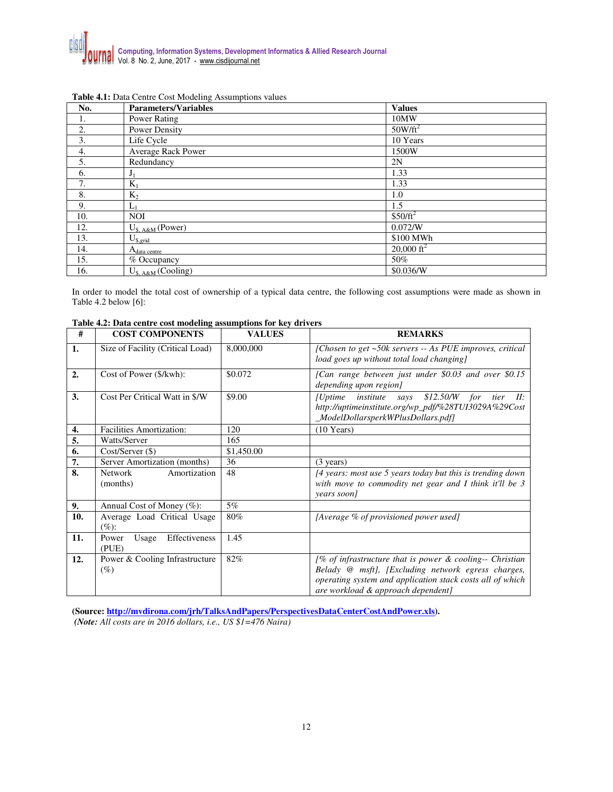| No. | <b>Parameters/Variables</b> | <b>Values</b>         |
|-----|-----------------------------|-----------------------|
| I.  | Power Rating                | 10MW                  |
| 2.  | Power Density               | $50W/\text{ft}^2$     |
| 3.  | Life Cycle                  | 10 Years              |
| 4.  | Average Rack Power          | 1500W                 |
| 5.  | Redundancy                  | 2N                    |
| 6.  | $J_1$                       | 1.33                  |
| 7.  | $K_1$                       | 1.33                  |
| 8.  | $K_2$                       | 1.0                   |
| 9.  | $L_1$                       | 1.5                   |
| 10. | <b>NOI</b>                  | $$50/ft^2$            |
| 12. | $U_{s, A\&M}$ (Power)       | 0.072/W               |
| 13. | $U_{\text{s,grid}}$         | \$100 MWh             |
| 14. | $A_{data \text{ centre}}$   | $20,000 \text{ ft}^2$ |
| 15. | % Occupancy                 | 50%                   |
| 16. | $U_{\$, A&M}$ (Cooling)     | \$0.036/W             |

### **Table 4.1:** Data Centre Cost Modeling Assumptions values

In order to model the total cost of ownership of a typical data centre, the following cost assumptions were made as shown in Table 4.2 below [6]:

| #   | <b>COST COMPONENTS</b>                   | <b>VALUES</b> | <b>REMARKS</b>                                                                                                                                                                                                       |
|-----|------------------------------------------|---------------|----------------------------------------------------------------------------------------------------------------------------------------------------------------------------------------------------------------------|
| 1.  | Size of Facility (Critical Load)         | 8,000,000     | [Chosen to get ~50k servers -- As PUE improves, critical<br>load goes up without total load changing]                                                                                                                |
| 2.  | Cost of Power (\$/kwh):                  | \$0.072       | [Can range between just under \$0.03 and over \$0.15<br>depending upon region]                                                                                                                                       |
| 3.  | Cost Per Critical Watt in \$/W           | \$9.00        | $$12.50/W$ for<br><i>[Uptime</i><br>$tier$ $II$ :<br><i>institute says</i><br>http://uptimeinstitute.org/wp_pdf/%28TUI3029A%29Cost<br>_ModelDollarsperkWPlusDollars.pdf]                                             |
| 4.  | <b>Facilities Amortization:</b>          | 120           | $(10$ Years)                                                                                                                                                                                                         |
| 5.  | Watts/Server                             | 165           |                                                                                                                                                                                                                      |
| 6.  | $Cost/Server (\$)$                       | \$1,450.00    |                                                                                                                                                                                                                      |
| 7.  | Server Amortization (months)             | 36            | $(3 \text{ years})$                                                                                                                                                                                                  |
| 8.  | Network<br>Amortization<br>(months)      | 48            | [4 years: most use 5 years today but this is trending down<br>with move to commodity net gear and I think it'll be 3<br>years soon]                                                                                  |
| 9.  | Annual Cost of Money (%):                | $5\%$         |                                                                                                                                                                                                                      |
| 10. | Average Load Critical Usage<br>$(\%):$   | 80%           | [Average % of provisioned power used]                                                                                                                                                                                |
| 11. | Effectiveness<br>Power<br>Usage<br>(PUE) | 1.45          |                                                                                                                                                                                                                      |
| 12. | Power & Cooling Infrastructure<br>$(\%)$ | 82%           | [% of infrastructure that is power $\&$ cooling-- Christian<br>Belady @ msft], [Excluding network egress charges,<br>operating system and application stack costs all of which<br>are workload & approach dependent] |

## **Table 4.2: Data centre cost modeling assumptions for key drivers**

**(Source: http://mvdirona.com/jrh/TalksAndPapers/PerspectivesDataCenterCostAndPower.xls).**   *(Note: All costs are in 2016 dollars, i.e., US \$1=476 Naira)*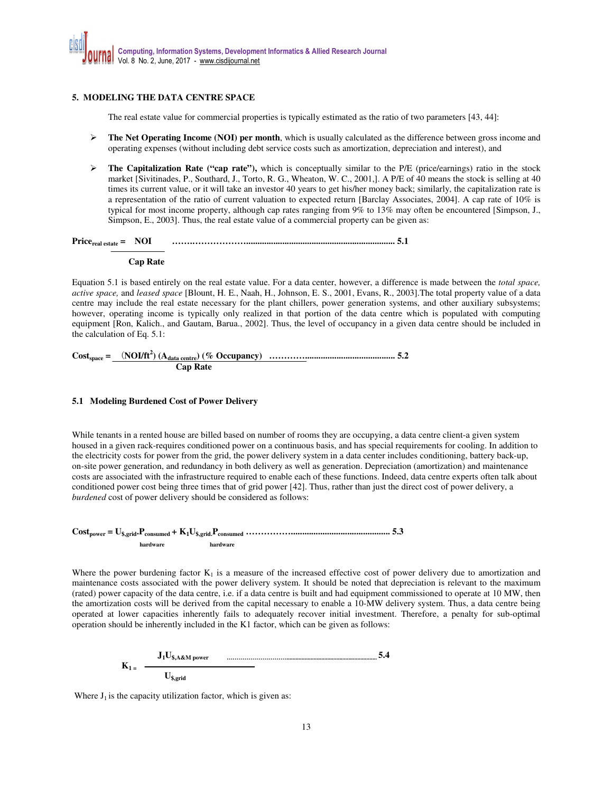# **5. MODELING THE DATA CENTRE SPACE**

The real estate value for commercial properties is typically estimated as the ratio of two parameters [43, 44]:

- $\triangleright$  **The Net Operating Income (NOI) per month**, which is usually calculated as the difference between gross income and operating expenses (without including debt service costs such as amortization, depreciation and interest), and
- **►** The Capitalization Rate ("cap rate"), which is conceptually similar to the P/E (price/earnings) ratio in the stock market [Sivitinades, P., Southard, J., Torto, R. G., Wheaton, W. C., 2001,]. A P/E of 40 means the stock is selling at 40 times its current value, or it will take an investor 40 years to get his/her money back; similarly, the capitalization rate is a representation of the ratio of current valuation to expected return [Barclay Associates, 2004]. A cap rate of 10% is typical for most income property, although cap rates ranging from 9% to 13% may often be encountered [Simpson, J., Simpson, E., 2003]. Thus, the real estate value of a commercial property can be given as:

**Pricereal estate = NOI …….……………….................................................................. 5.1** 

### **Cap Rate**

Equation 5.1 is based entirely on the real estate value. For a data center, however, a difference is made between the *total space, active space,* and *leased space* [Blount, H. E., Naah, H., Johnson, E. S., 2001, Evans, R., 2003].The total property value of a data centre may include the real estate necessary for the plant chillers, power generation systems, and other auxiliary subsystems; however, operating income is typically only realized in that portion of the data centre which is populated with computing equipment [Ron, Kalich., and Gautam, Barua., 2002]. Thus, the level of occupancy in a given data centre should be included in the calculation of Eq. 5.1:

**Costspace =** (**NOI/ft<sup>2</sup> ) (Adata centre) (% Occupancy) …………........................................ 5.2 Cap Rate** 

### **5.1 Modeling Burdened Cost of Power Delivery**

While tenants in a rented house are billed based on number of rooms they are occupying, a data centre client-a given system housed in a given rack-requires conditioned power on a continuous basis, and has special requirements for cooling. In addition to the electricity costs for power from the grid, the power delivery system in a data center includes conditioning, battery back-up, on-site power generation, and redundancy in both delivery as well as generation. Depreciation (amortization) and maintenance costs are associated with the infrastructure required to enable each of these functions. Indeed, data centre experts often talk about conditioned power cost being three times that of grid power [42]. Thus, rather than just the direct cost of power delivery, a *burdened* cost of power delivery should be considered as follows:

**Costpower = U\$,grid.Pconsumed + K1U\$,grid.Pconsumed ……………............................................ 5.3 hardware hardware** 

Where the power burdening factor  $K_1$  is a measure of the increased effective cost of power delivery due to amortization and maintenance costs associated with the power delivery system. It should be noted that depreciation is relevant to the maximum (rated) power capacity of the data centre, i.e. if a data centre is built and had equipment commissioned to operate at 10 MW, then the amortization costs will be derived from the capital necessary to enable a 10-MW delivery system. Thus, a data centre being operated at lower capacities inherently fails to adequately recover initial investment. Therefore, a penalty for sub-optimal operation should be inherently included in the K1 factor, which can be given as follows:

$$
K_{1} = \frac{J_{1}U_{\text{s,AAM power}}}{U_{\text{s,grid}}}
$$
 5.4

Where  $J_1$  is the capacity utilization factor, which is given as: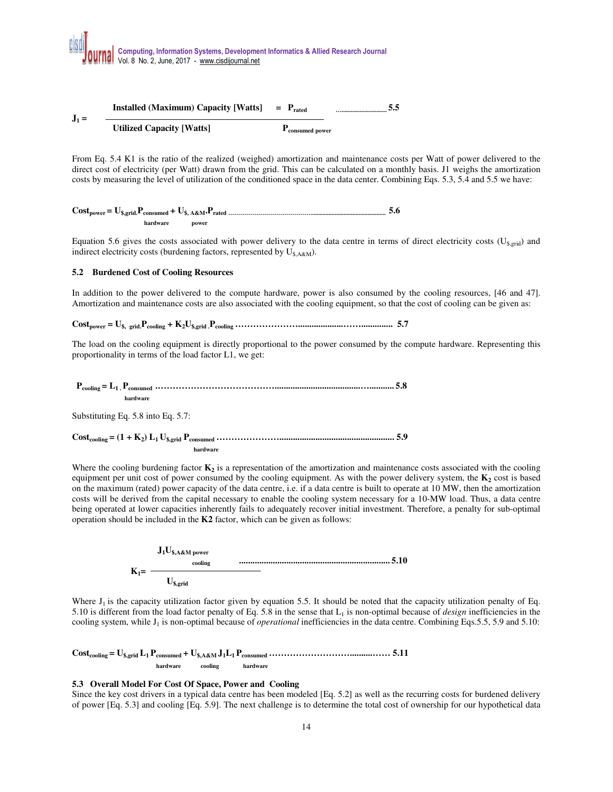

From Eq. 5.4 K1 is the ratio of the realized (weighed) amortization and maintenance costs per Watt of power delivered to the direct cost of electricity (per Watt) drawn from the grid. This can be calculated on a monthly basis. J1 weighs the amortization costs by measuring the level of utilization of the conditioned space in the data center. Combining Eqs. 5.3, 5.4 and 5.5 we have:

|          |       | 5.O |
|----------|-------|-----|
| hardware | power |     |

Equation 5.6 gives the costs associated with power delivery to the data centre in terms of direct electricity costs ( $U_{s,grid}$ ) and indirect electricity costs (burdening factors, represented by  $U_{\$,A\&M}$ ).

#### **5.2 Burdened Cost of Cooling Resources**

In addition to the power delivered to the compute hardware, power is also consumed by the cooling resources, [46 and 47]. Amortization and maintenance costs are also associated with the cooling equipment, so that the cost of cooling can be given as:

 $\text{Cost}_{\text{power}} = U_{\text{S}, \text{ grid}} P_{\text{cooling}} + K_2 U_{\text{S, grid}} P_{\text{cooling}} \dots P_{\text{covling}} \dots P_{\text{covariant}} P_{\text{covariant}} P_{\text{covariant}} P_{\text{covariant}} P_{\text{covariant}} P_{\text{covariant}} P_{\text{covariant}} P_{\text{covariant}} P_{\text{covariant}} P_{\text{covariant}} P_{\text{covariant}} P_{\text{covariant}} P_{\text{covariant}} P_{\text{covariant}} P_{\text{covariant}} P_{\text{covariant}} P_{\text{covariant}} P_{$ 

The load on the cooling equipment is directly proportional to the power consumed by the compute hardware. Representing this proportionality in terms of the load factor L1, we get:

 **Pcooling = L1 . Pconsuned .…………………………………......................................…........... 5.8 hardware** 

Substituting Eq. 5.8 into Eq. 5.7:

```
Costcooling = (1 + K2
) L1 U$,grid Pconsumed …………………................................................... 5.9 
                                        hardware
```
Where the cooling burdening factor  $K_2$  is a representation of the amortization and maintenance costs associated with the cooling equipment per unit cost of power consumed by the cooling equipment. As with the power delivery system, the **K<sup>2</sup>** cost is based on the maximum (rated) power capacity of the data centre, i.e. if a data centre is built to operate at 10 MW, then the amortization costs will be derived from the capital necessary to enable the cooling system necessary for a 10-MW load. Thus, a data centre being operated at lower capacities inherently fails to adequately recover initial investment. Therefore, a penalty for sub-optimal operation should be included in the **K2** factor, which can be given as follows:

$$
K_1 = \frac{J_1 U_{\text{S,AA}M \text{ power}}}{U_{\text{S,grid}}}
$$

Where  $J_1$  is the capacity utilization factor given by equation 5.5. It should be noted that the capacity utilization penalty of Eq. 5.10 is different from the load factor penalty of Eq. 5.8 in the sense that  $L_1$  is non-optimal because of *design* inefficiencies in the cooling system, while J<sub>1</sub> is non-optimal because of *operational* inefficiencies in the data centre. Combining Eqs.5.5, 5.9 and 5.10:

**Costcooling = U\$,grid L1 Pconsumed + U\$,A&M J1L1 Pconsumed ………………………..........…… 5.11 hardware cooling hardware**

### **5.3 Overall Model For Cost Of Space, Power and Cooling**

Since the key cost drivers in a typical data centre has been modeled [Eq. 5.2] as well as the recurring costs for burdened delivery of power [Eq. 5.3] and cooling [Eq. 5.9]. The next challenge is to determine the total cost of ownership for our hypothetical data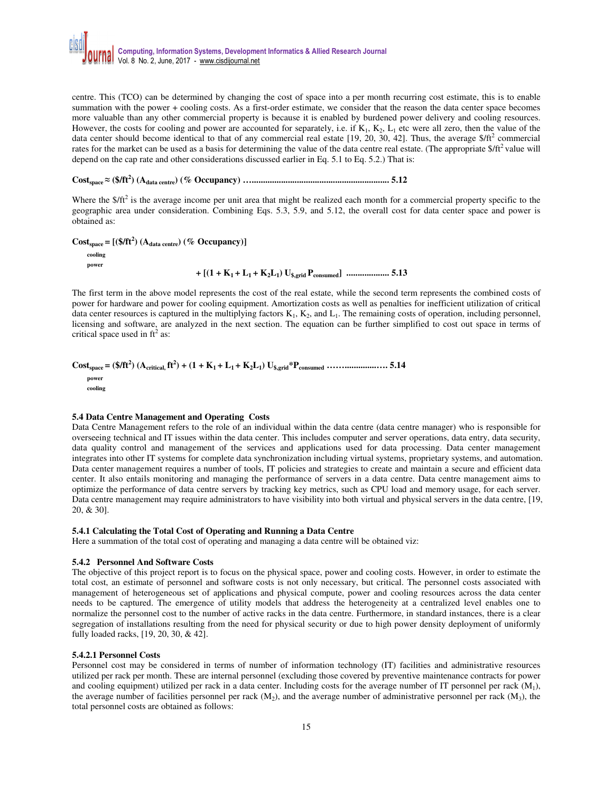

centre. This (TCO) can be determined by changing the cost of space into a per month recurring cost estimate, this is to enable summation with the power + cooling costs. As a first-order estimate, we consider that the reason the data center space becomes more valuable than any other commercial property is because it is enabled by burdened power delivery and cooling resources. However, the costs for cooling and power are accounted for separately, i.e. if  $K_1$ ,  $K_2$ ,  $L_1$  etc were all zero, then the value of the data center should become identical to that of any commercial real estate [19, 20, 30, 42]. Thus, the average  $$/ft<sup>2</sup>$  commercial rates for the market can be used as a basis for determining the value of the data centre real estate. (The appropriate  $$/ft^2$$ value will depend on the cap rate and other considerations discussed earlier in Eq. 5.1 to Eq. 5.2.) That is:

# $\text{Cost}_{\text{space}} \approx (\text{S/ft}^2) \; (\text{A}_{\text{data centre}}) \; (\text{% Occupancy}) \; \dots \text{...} \dots \text{...} \dots \text{...} \dots \text{...} \dots \text{...} \dots \text{...} \dots \text{...} \dots \text{...} \dots \text{...} \dots \text{...} \cdot \text{...} \cdot \text{...} \cdot \text{...} \cdot \text{...} \cdot \text{...} \cdot \text{...} \cdot \text{...} \cdot \text{...} \cdot \text{...} \cdot \text{...} \cdot \text{...} \cdot \text{...} \cdot \text{...} \cdot \text{...} \cdot \text$

Where the  $$/ft^2$$  is the average income per unit area that might be realized each month for a commercial property specific to the geographic area under consideration. Combining Eqs. 5.3, 5.9, and 5.12, the overall cost for data center space and power is obtained as:

# $\text{Cost}_{\text{space}} = [(\text{$f/ft}^2) \ (A_{\text{data centre}}) \ (\text{$\% \text{ Occupancy}})]$

 **cooling power** 

**+ [(1 + K1 + L1 + K2L<sup>1</sup> ) U\$,grid Pconsumed] ................... 5.13**

The first term in the above model represents the cost of the real estate, while the second term represents the combined costs of power for hardware and power for cooling equipment. Amortization costs as well as penalties for inefficient utilization of critical data center resources is captured in the multiplying factors  $K_1$ ,  $K_2$ , and  $L_1$ . The remaining costs of operation, including personnel, licensing and software, are analyzed in the next section. The equation can be further simplified to cost out space in terms of critical space used in  $ft^2$  as:

# $Cost_{space} = (\frac{4}{11}) (A_{critical,}ft^2) + (1 + K_1 + L_1 + K_2L_1) U_{\frac{8, grid}{11}} * P_{consumed} \dots \dots \dots \dots \dots \dots \dots \dots 5.14$  **power cooling**

## **5.4 Data Centre Management and Operating Costs**

Data Centre Management refers to the role of an individual within the data centre (data centre manager) who is responsible for overseeing technical and IT issues within the data center. This includes computer and server operations, data entry, data security, data quality control and management of the services and applications used for data processing. Data center management integrates into other IT systems for complete data synchronization including virtual systems, proprietary systems, and automation. Data center management requires a number of tools, IT policies and strategies to create and maintain a secure and efficient data center. It also entails monitoring and managing the performance of servers in a data centre. Data centre management aims to optimize the performance of data centre servers by tracking key metrics, such as CPU load and memory usage, for each server. Data centre management may require administrators to have visibility into both virtual and physical servers in the data centre, [19, 20, & 30].

#### **5.4.1 Calculating the Total Cost of Operating and Running a Data Centre**

Here a summation of the total cost of operating and managing a data centre will be obtained viz:

### **5.4.2 Personnel And Software Costs**

The objective of this project report is to focus on the physical space, power and cooling costs. However, in order to estimate the total cost, an estimate of personnel and software costs is not only necessary, but critical. The personnel costs associated with management of heterogeneous set of applications and physical compute, power and cooling resources across the data center needs to be captured. The emergence of utility models that address the heterogeneity at a centralized level enables one to normalize the personnel cost to the number of active racks in the data centre. Furthermore, in standard instances, there is a clear segregation of installations resulting from the need for physical security or due to high power density deployment of uniformly fully loaded racks, [19, 20, 30, & 42].

### **5.4.2.1 Personnel Costs**

Personnel cost may be considered in terms of number of information technology (IT) facilities and administrative resources utilized per rack per month. These are internal personnel (excluding those covered by preventive maintenance contracts for power and cooling equipment) utilized per rack in a data center. Including costs for the average number of IT personnel per rack  $(M<sub>1</sub>)$ , the average number of facilities personnel per rack  $(M_2)$ , and the average number of administrative personnel per rack  $(M_3)$ , the total personnel costs are obtained as follows: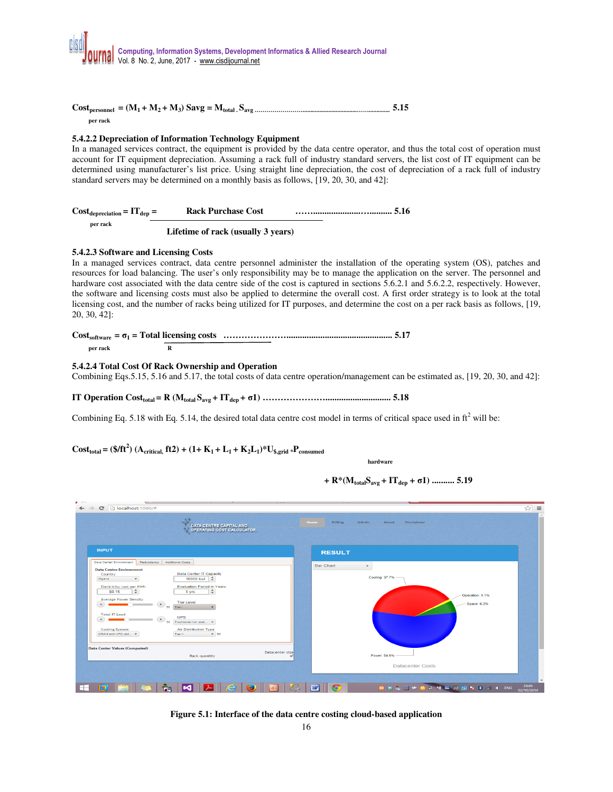

**Costpersonnel = (M1 + M2 + M<sup>3</sup> ) Savg = Mtotal . Savg ……………………....................................…….............. 5.15 per rack** 

# **5.4.2.2 Depreciation of Information Technology Equipment**

In a managed services contract, the equipment is provided by the data centre operator, and thus the total cost of operation must account for IT equipment depreciation. Assuming a rack full of industry standard servers, the list cost of IT equipment can be determined using manufacturer's list price. Using straight line depreciation, the cost of depreciation of a rack full of industry standard servers may be determined on a monthly basis as follows, [19, 20, 30, and 42]:

| $Cost_{deprecision} = IT_{dep} =$ | <b>Rack Purchase Cost</b> |  |
|-----------------------------------|---------------------------|--|
| per rack                          |                           |  |

 **Lifetime of rack (usually 3 years)** 

# **5.4.2.3 Software and Licensing Costs**

In a managed services contract, data centre personnel administer the installation of the operating system (OS), patches and resources for load balancing. The user's only responsibility may be to manage the application on the server. The personnel and hardware cost associated with the data centre side of the cost is captured in sections 5.6.2.1 and 5.6.2.2, respectively. However, the software and licensing costs must also be applied to determine the overall cost. A first order strategy is to look at the total licensing cost, and the number of racks being utilized for IT purposes, and determine the cost on a per rack basis as follows, [19, 20, 30, 42]:

| per rack |  |
|----------|--|

## **5.4.2.4 Total Cost Of Rack Ownership and Operation**

Combining Eqs.5.15, 5.16 and 5.17, the total costs of data centre operation/management can be estimated as, [19, 20, 30, and 42]:

**IT Operation Costtotal = R (Mtotal Savg + ITdep + σ1) …………………............................. 5.18** 

Combining Eq. 5.18 with Eq. 5.14, the desired total data centre cost model in terms of critical space used in  $ft^2$  will be:

# **Cost**<sub>total</sub> = (\$/ft<sup>2</sup>) (A<sub>critical,</sub> ft2) + (1+ K<sub>1</sub> + L<sub>1</sub> + K<sub>2</sub>L<sub>1</sub>)\*U<sub>\$,grid</sub> \*P<sub>consumed</sub>

*hardware hardware* 

 $+$ **R**\*(M<sub>**total</sub>S<sub>avg</sub> + IT<sub>dep</sub> +**  $\sigma$ **1) ........... 5.19</sub>** 



**Figure 5.1: Interface of the data centre costing cloud-based application**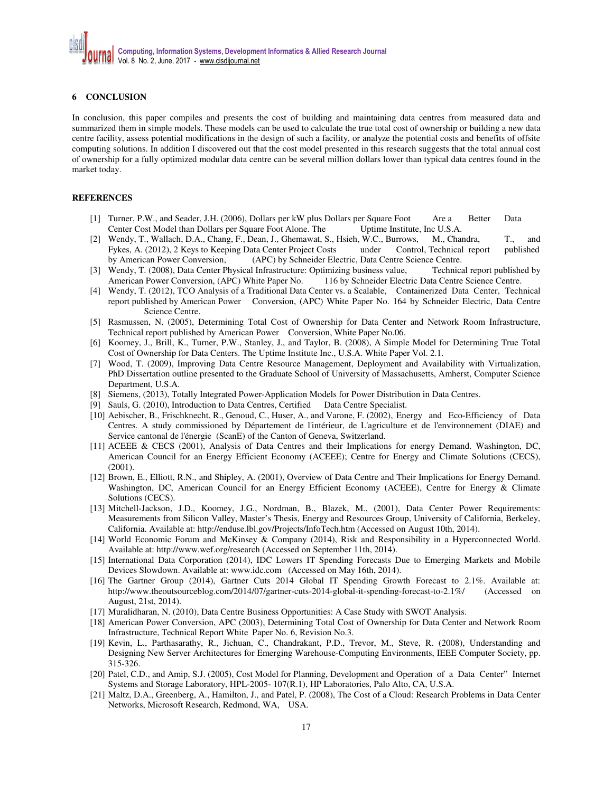# **6 CONCLUSION**

In conclusion, this paper compiles and presents the cost of building and maintaining data centres from measured data and summarized them in simple models. These models can be used to calculate the true total cost of ownership or building a new data centre facility, assess potential modifications in the design of such a facility, or analyze the potential costs and benefits of offsite computing solutions. In addition I discovered out that the cost model presented in this research suggests that the total annual cost of ownership for a fully optimized modular data centre can be several million dollars lower than typical data centres found in the market today.

# **REFERENCES**

- [1] Turner, P.W., and Seader, J.H. (2006), Dollars per kW plus Dollars per Square Foot Are a Better Data Center Cost Model than Dollars per Square Foot Alone. The Uptime Institute, Inc U.S.A.
- [2] Wendy, T., Wallach, D.A., Chang, F., Dean, J., Ghemawat, S., Hsieh, W.C., Burrows, M., Chandra, T., and Fykes, A. (2012), 2 Keys to Keeping Data Center Project Costs under Control, Technical report published by American Power Conversion, (APC) by Schneider Electric, Data Centre Science Centre.
- [3] Wendy, T. (2008), Data Center Physical Infrastructure: Optimizing business value, Technical report published by American Power Conversion, (APC) White Paper No. 116 by Schneider Electric Data Centre Science Centre.
- [4] Wendy, T. (2012), TCO Analysis of a Traditional Data Center vs. a Scalable, Containerized Data Center, Technical report published by American Power Conversion, **(**APC) White Paper No. 164 by Schneider Electric, Data Centre Science Centre.
- [5] Rasmussen, N. (2005), Determining Total Cost of Ownership for Data Center and Network Room Infrastructure, Technical report published by American Power Conversion, White Paper No.06.
- [6] Koomey, J., Brill, K., Turner, P.W., Stanley, J., and Taylor, B. (2008), A Simple Model for Determining True Total Cost of Ownership for Data Centers. The Uptime Institute Inc., U.S.A. White Paper Vol. 2.1.
- [7] Wood, T. (2009), Improving Data Centre Resource Management, Deployment and Availability with Virtualization, PhD Dissertation outline presented to the Graduate School of University of Massachusetts, Amherst, Computer Science Department, U.S.A.
- [8] Siemens, (2013), Totally Integrated Power-Application Models for Power Distribution in Data Centres.
- [9] Sauls, G. (2010), Introduction to Data Centres, Certified Data Centre Specialist.
- [10] Aebischer, B., Frischknecht, R., Genoud, C., Huser, A., and Varone, F. (2002), Energy and Eco-Efficiency of Data Centres. A study commissioned by Département de l'intérieur, de L'agriculture et de l'environnement (DIAE) and Service cantonal de l'énergie (ScanE) of the Canton of Geneva, Switzerland.
- [11] ACEEE & CECS (2001), Analysis of Data Centres and their Implications for energy Demand. Washington, DC, American Council for an Energy Efficient Economy (ACEEE); Centre for Energy and Climate Solutions (CECS), (2001).
- [12] Brown, E., Elliott, R.N., and Shipley, A. (2001), Overview of Data Centre and Their Implications for Energy Demand. Washington, DC, American Council for an Energy Efficient Economy (ACEEE), Centre for Energy & Climate Solutions (CECS).
- [13] Mitchell-Jackson, J.D., Koomey, J.G., Nordman, B., Blazek, M., (2001), Data Center Power Requirements: Measurements from Silicon Valley, Master's Thesis, Energy and Resources Group, University of California, Berkeley, California. Available at: http://enduse.lbl.gov/Projects/InfoTech.htm (Accessed on August 10th, 2014).
- [14] World Economic Forum and McKinsey & Company (2014), Risk and Responsibility in a Hyperconnected World. Available at: http://www.wef.org/research (Accessed on September 11th, 2014).
- [15] International Data Corporation (2014), IDC Lowers IT Spending Forecasts Due to Emerging Markets and Mobile Devices Slowdown. Available at: www.idc.com (Accessed on May 16th, 2014).
- [16] The Gartner Group (2014), Gartner Cuts 2014 Global IT Spending Growth Forecast to 2.1%. Available at: http://www.theoutsourceblog.com/2014/07/gartner-cuts-2014-global-it-spending-forecast-to-2.1%/ (Accessed on August, 21st, 2014).
- [17] Muralidharan, N. (2010), Data Centre Business Opportunities: A Case Study with SWOT Analysis.
- [18] American Power Conversion, APC (2003), Determining Total Cost of Ownership for Data Center and Network Room Infrastructure, Technical Report White Paper No. 6, Revision No.3.
- [19] Kevin, L., Parthasarathy, R., Jichuan, C., Chandrakant, P.D., Trevor, M., Steve, R. (2008), Understanding and Designing New Server Architectures for Emerging Warehouse-Computing Environments, IEEE Computer Society, pp. 315-326.
- [20] Patel, C.D., and Amip, S.J. (2005), Cost Model for Planning, Development and Operation of a Data Center" Internet Systems and Storage Laboratory, HPL-2005- 107(R.1), HP Laboratories, Palo Alto, CA, U.S.A.
- [21] Maltz, D.A., Greenberg, A., Hamilton, J., and Patel, P. (2008), The Cost of a Cloud: Research Problems in Data Center Networks, Microsoft Research, Redmond, WA, USA.